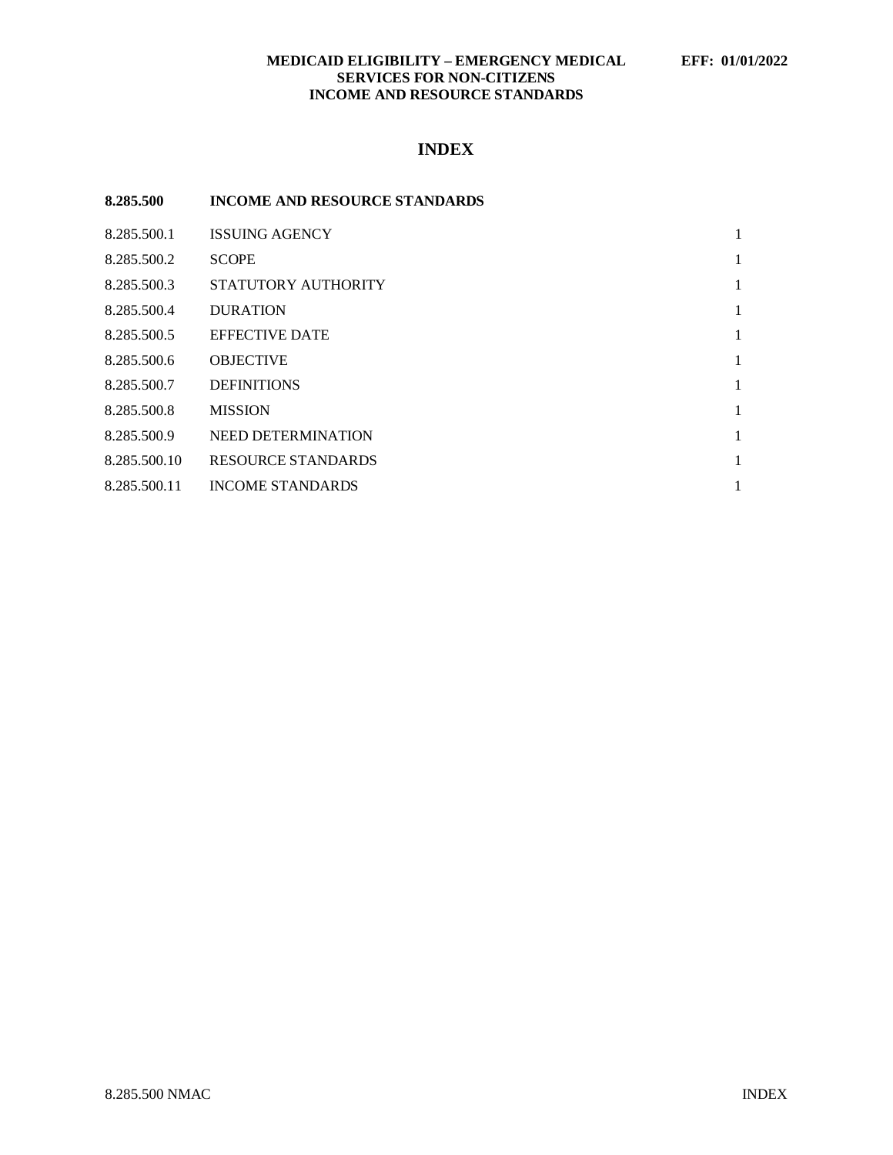## **MEDICAID ELIGIBILITY – EMERGENCY MEDICAL EFF: 01/01/2022 SERVICES FOR NON-CITIZENS INCOME AND RESOURCE STANDARDS**

# **INDEX**

| 8.285.500    | <b>INCOME AND RESOURCE STANDARDS</b> |   |
|--------------|--------------------------------------|---|
| 8.285.500.1  | <b>ISSUING AGENCY</b>                | 1 |
| 8.285.500.2  | <b>SCOPE</b>                         | 1 |
| 8.285.500.3  | STATUTORY AUTHORITY                  | 1 |
| 8.285.500.4  | <b>DURATION</b>                      | 1 |
| 8.285.500.5  | <b>EFFECTIVE DATE</b>                | 1 |
| 8.285.500.6  | <b>OBJECTIVE</b>                     | 1 |
| 8.285.500.7  | <b>DEFINITIONS</b>                   | 1 |
| 8.285.500.8  | <b>MISSION</b>                       | 1 |
| 8.285.500.9  | <b>NEED DETERMINATION</b>            | 1 |
| 8.285.500.10 | <b>RESOURCE STANDARDS</b>            | 1 |
| 8.285.500.11 | <b>INCOME STANDARDS</b>              | 1 |